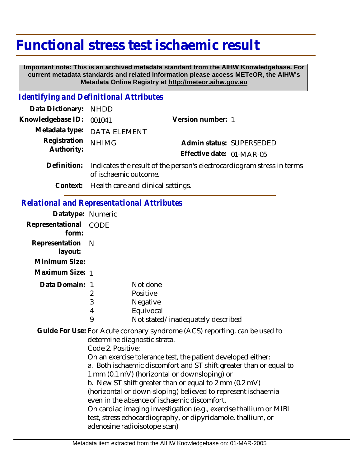# **Functional stress test ischaemic result**

 **Important note: This is an archived metadata standard from the AIHW Knowledgebase. For current metadata standards and related information please access METeOR, the AIHW's Metadata Online Registry at http://meteor.aihw.gov.au**

#### *Identifying and Definitional Attributes*

| Data Dictionary: NHDD            |                                                                                |                           |                          |
|----------------------------------|--------------------------------------------------------------------------------|---------------------------|--------------------------|
| Knowledgebase ID: 001041         |                                                                                | Version number: 1         |                          |
|                                  | Metadata type: DATA ELEMENT                                                    |                           |                          |
| Registration NHIMG<br>Authority: |                                                                                |                           | Admin status: SUPERSEDED |
|                                  |                                                                                | Effective date: 01-MAR-05 |                          |
|                                  | Definition. Indicates the nearly of the memorial destroyedis anome studes in t |                           |                          |

- Definition: Indicates the result of the person's electrocardiogram stress in terms of ischaemic outcome.
	- **Context:** Health care and clinical settings.

### *Relational and Representational Attributes*

| Datatype: Numeric                          |                   |                                                                                                                                                                                                                                                                                                                                                                                                                            |
|--------------------------------------------|-------------------|----------------------------------------------------------------------------------------------------------------------------------------------------------------------------------------------------------------------------------------------------------------------------------------------------------------------------------------------------------------------------------------------------------------------------|
| Representational CODE<br>form:             |                   |                                                                                                                                                                                                                                                                                                                                                                                                                            |
| Representation<br>layout:<br>Minimum Size: | - N               |                                                                                                                                                                                                                                                                                                                                                                                                                            |
| Maximum Size: 1                            |                   |                                                                                                                                                                                                                                                                                                                                                                                                                            |
| Data Domain: 1                             | 2<br>3<br>4<br>9  | Not done<br>Positive<br>Negative<br>Equivocal<br>Not stated/inadequately described                                                                                                                                                                                                                                                                                                                                         |
|                                            | Code 2. Positive: | Guide For Use: For Acute coronary syndrome (ACS) reporting, can be used to<br>determine diagnostic strata.<br>On an exercise tolerance test, the patient developed either:<br>a. Both ischaemic discomfort and ST shift greater than or equal to<br>1 mm (0.1 mV) (horizontal or downsloping) or<br>b. New ST shift greater than or equal to 2 mm (0.2 mV)<br>(horizontal or down-sloping) believed to represent ischaemia |

even in the absence of ischaemic discomfort.

On cardiac imaging investigation (e.g., exercise thallium or MIBI test, stress echocardiography, or dipyridamole, thallium, or adenosine radioisotope scan)